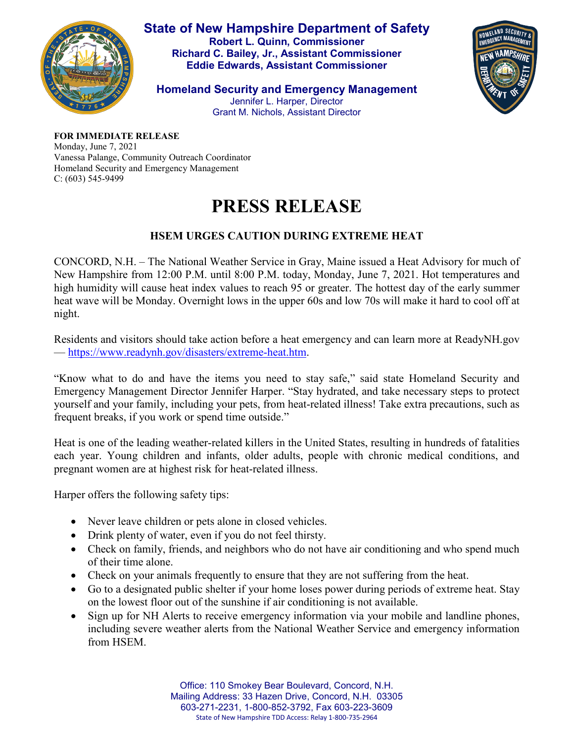

**State of New Hampshire Department of Safety Robert L. Quinn, Commissioner Richard C. Bailey, Jr., Assistant Commissioner Eddie Edwards, Assistant Commissioner**

JOMELAND SECURIT

**Homeland Security and Emergency Management** Jennifer L. Harper, Director Grant M. Nichols, Assistant Director

**FOR IMMEDIATE RELEASE**

Monday, June 7, 2021 Vanessa Palange, Community Outreach Coordinator Homeland Security and Emergency Management C: (603) 545-9499

## **PRESS RELEASE**

## **HSEM URGES CAUTION DURING EXTREME HEAT**

CONCORD, N.H. – The National Weather Service in Gray, Maine issued a Heat Advisory for much of New Hampshire from 12:00 P.M. until 8:00 P.M. today, Monday, June 7, 2021. Hot temperatures and high humidity will cause heat index values to reach 95 or greater. The hottest day of the early summer heat wave will be Monday. Overnight lows in the upper 60s and low 70s will make it hard to cool off at night.

Residents and visitors should take action before a heat emergency and can learn more at ReadyNH.gov — [https://www.readynh.gov/disasters/extreme-heat.htm.](https://www.readynh.gov/disasters/extreme-heat.htm)

"Know what to do and have the items you need to stay safe," said state Homeland Security and Emergency Management Director Jennifer Harper. "Stay hydrated, and take necessary steps to protect yourself and your family, including your pets, from heat-related illness! Take extra precautions, such as frequent breaks, if you work or spend time outside."

Heat is one of the leading weather-related killers in the United States, resulting in hundreds of fatalities each year. Young children and infants, older adults, people with chronic medical conditions, and pregnant women are at highest risk for heat-related illness.

Harper offers the following safety tips:

- Never leave children or pets alone in closed vehicles.
- Drink plenty of water, even if you do not feel thirsty.
- Check on family, friends, and neighbors who do not have air conditioning and who spend much of their time alone.
- Check on your animals frequently to ensure that they are not suffering from the heat.
- Go to a designated public shelter if your home loses power during periods of extreme heat. Stay on the lowest floor out of the sunshine if air conditioning is not available.
- Sign up for NH Alerts to receive emergency information via your mobile and landline phones, including severe weather alerts from the National Weather Service and emergency information from HSEM.